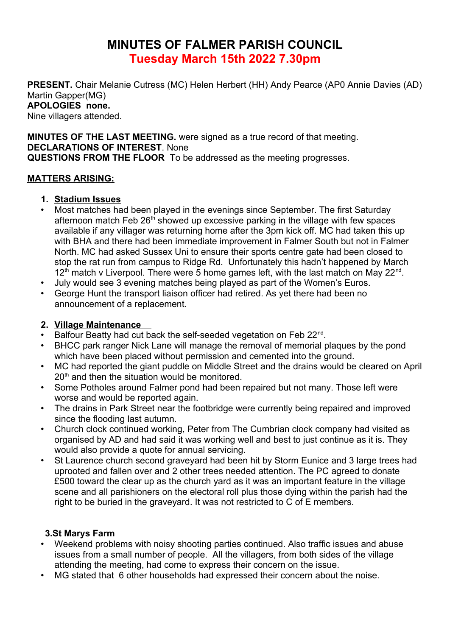# **MINUTES OF FALMER PARISH COUNCIL Tuesday March 15th 2022 7.30pm**

**PRESENT.** Chair Melanie Cutress (MC) Helen Herbert (HH) Andy Pearce (AP0 Annie Davies (AD) Martin Gapper(MG) **APOLOGIES none.**  Nine villagers attended.

**MINUTES OF THE LAST MEETING.** were signed as a true record of that meeting. **DECLARATIONS OF INTEREST**. None **QUESTIONS FROM THE FLOOR** To be addressed as the meeting progresses.

### **MATTERS ARISING:**

#### **1. Stadium Issues**

- Most matches had been played in the evenings since September. The first Saturday afternoon match Feb  $26<sup>th</sup>$  showed up excessive parking in the village with few spaces available if any villager was returning home after the 3pm kick off. MC had taken this up with BHA and there had been immediate improvement in Falmer South but not in Falmer North. MC had asked Sussex Uni to ensure their sports centre gate had been closed to stop the rat run from campus to Ridge Rd. Unfortunately this hadn't happened by March  $12<sup>th</sup>$  match v Liverpool. There were 5 home games left, with the last match on May 22<sup>nd</sup>.
- July would see 3 evening matches being played as part of the Women's Euros.
- George Hunt the transport liaison officer had retired. As yet there had been no announcement of a replacement.

### **2. Village Maintenance**

- Balfour Beatty had cut back the self-seeded vegetation on Feb 22<sup>nd</sup>.
- BHCC park ranger Nick Lane will manage the removal of memorial plaques by the pond which have been placed without permission and cemented into the ground.
- MC had reported the giant puddle on Middle Street and the drains would be cleared on April  $20<sup>th</sup>$  and then the situation would be monitored.
- Some Potholes around Falmer pond had been repaired but not many. Those left were worse and would be reported again.
- The drains in Park Street near the footbridge were currently being repaired and improved since the flooding last autumn.
- Church clock continued working, Peter from The Cumbrian clock company had visited as organised by AD and had said it was working well and best to just continue as it is. They would also provide a quote for annual servicing.
- St Laurence church second graveyard had been hit by Storm Eunice and 3 large trees had uprooted and fallen over and 2 other trees needed attention. The PC agreed to donate £500 toward the clear up as the church yard as it was an important feature in the village scene and all parishioners on the electoral roll plus those dying within the parish had the right to be buried in the graveyard. It was not restricted to C of E members.

### **3.St Marys Farm**

- Weekend problems with noisy shooting parties continued. Also traffic issues and abuse issues from a small number of people. All the villagers, from both sides of the village attending the meeting, had come to express their concern on the issue.
- MG stated that 6 other households had expressed their concern about the noise.